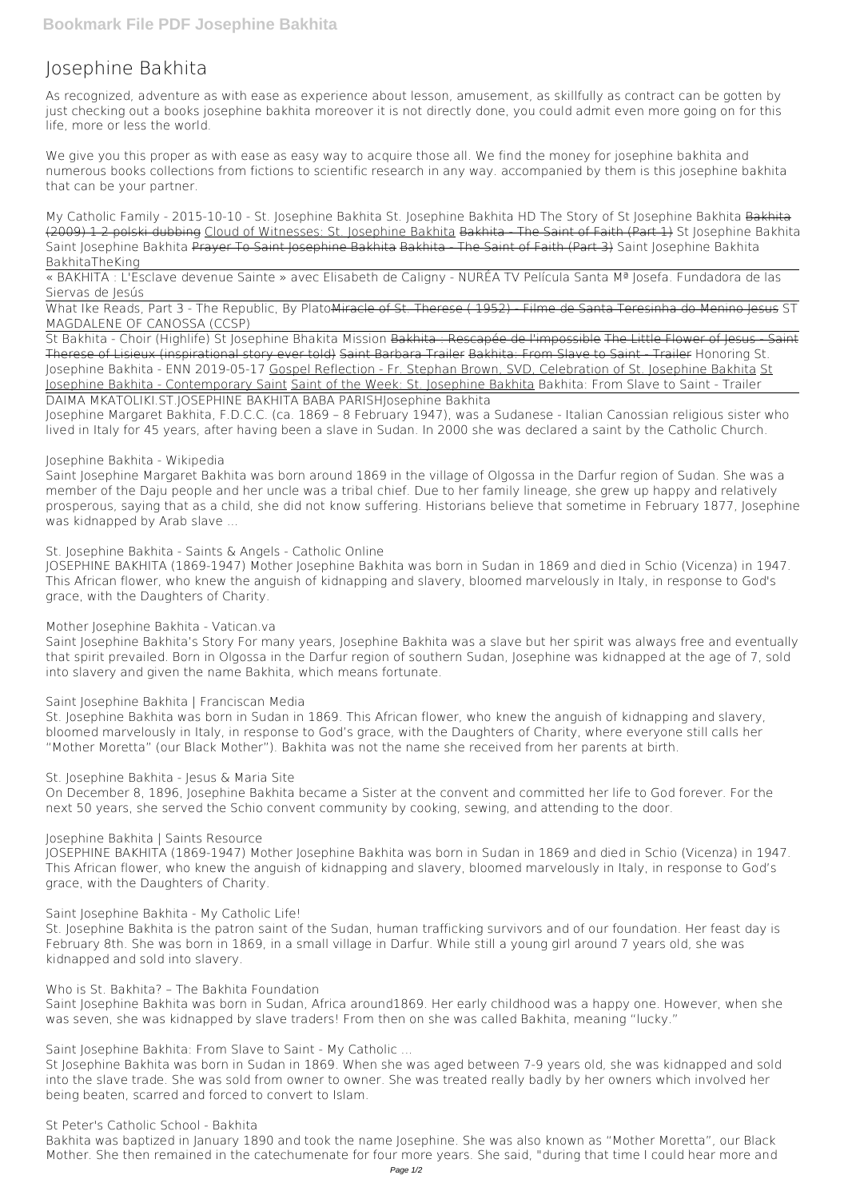# **Josephine Bakhita**

As recognized, adventure as with ease as experience about lesson, amusement, as skillfully as contract can be gotten by just checking out a books **josephine bakhita** moreover it is not directly done, you could admit even more going on for this life, more or less the world.

We give you this proper as with ease as easy way to acquire those all. We find the money for josephine bakhita and numerous books collections from fictions to scientific research in any way. accompanied by them is this josephine bakhita that can be your partner.

What Ike Reads, Part 3 - The Republic, By Plato<del>Miracle of St. Therese (1952) - Filme de Santa Teresinha do Menino Iesus</del> ST MAGDALENE OF CANOSSA (CCSP)

*My Catholic Family - 2015-10-10 - St. Josephine Bakhita* **St. Josephine Bakhita HD The Story of St Josephine Bakhita** Bakhita (2009) 1 2 polski dubbing Cloud of Witnesses: St. Josephine Bakhita Bakhita - The Saint of Faith (Part 1) **St Josephine Bakhita Saint Josephine Bakhita** Prayer To Saint Josephine Bakhita Bakhita - The Saint of Faith (Part 3) **Saint Josephine Bakhita BakhitaTheKing**

« BAKHITA : L'Esclave devenue Sainte » avec Elisabeth de Caligny - NURÉA TV Película Santa Mª Josefa. Fundadora de las Siervas de Jesús

Saint Josephine Margaret Bakhita was born around 1869 in the village of Olgossa in the Darfur region of Sudan. She was a member of the Daju people and her uncle was a tribal chief. Due to her family lineage, she grew up happy and relatively prosperous, saying that as a child, she did not know suffering. Historians believe that sometime in February 1877, Josephine was kidnapped by Arab slave ...

St Bakhita - Choir (Highlife) St Josephine Bhakita Mission Bakhita : Rescapée de l'impossible The Little Flower of Jesus - Saint Therese of Lisieux (inspirational story ever told) Saint Barbara Trailer Bakhita: From Slave to Saint - Trailer *Honoring St. Josephine Bakhita - ENN 2019-05-17* Gospel Reflection - Fr. Stephan Brown, SVD, Celebration of St. Josephine Bakhita St Josephine Bakhita - Contemporary Saint Saint of the Week: St. Josephine Bakhita *Bakhita: From Slave to Saint - Trailer* DAIMA MKATOLIKI.ST.JOSEPHINE BAKHITA BABA PARISH**Josephine Bakhita**

Josephine Margaret Bakhita, F.D.C.C. (ca. 1869 – 8 February 1947), was a Sudanese - Italian Canossian religious sister who lived in Italy for 45 years, after having been a slave in Sudan. In 2000 she was declared a saint by the Catholic Church.

# **Josephine Bakhita - Wikipedia**

Saint Josephine Bakhita was born in Sudan, Africa around1869. Her early childhood was a happy one. However, when she was seven, she was kidnapped by slave traders! From then on she was called Bakhita, meaning "lucky."

**St. Josephine Bakhita - Saints & Angels - Catholic Online**

JOSEPHINE BAKHITA (1869-1947) Mother Josephine Bakhita was born in Sudan in 1869 and died in Schio (Vicenza) in 1947. This African flower, who knew the anguish of kidnapping and slavery, bloomed marvelously in Italy, in response to God's grace, with the Daughters of Charity.

# **Mother Josephine Bakhita - Vatican.va**

Saint Josephine Bakhita's Story For many years, Josephine Bakhita was a slave but her spirit was always free and eventually that spirit prevailed. Born in Olgossa in the Darfur region of southern Sudan, Josephine was kidnapped at the age of 7, sold into slavery and given the name Bakhita, which means fortunate.

# **Saint Josephine Bakhita | Franciscan Media**

St. Josephine Bakhita was born in Sudan in 1869. This African flower, who knew the anguish of kidnapping and slavery, bloomed marvelously in Italy, in response to God's grace, with the Daughters of Charity, where everyone still calls her "Mother Moretta" (our Black Mother"). Bakhita was not the name she received from her parents at birth.

# **St. Josephine Bakhita - Jesus & Maria Site**

On December 8, 1896, Josephine Bakhita became a Sister at the convent and committed her life to God forever. For the next 50 years, she served the Schio convent community by cooking, sewing, and attending to the door.

# **Josephine Bakhita | Saints Resource**

JOSEPHINE BAKHITA (1869-1947) Mother Josephine Bakhita was born in Sudan in 1869 and died in Schio (Vicenza) in 1947. This African flower, who knew the anguish of kidnapping and slavery, bloomed marvelously in Italy, in response to God's grace, with the Daughters of Charity.

**Saint Josephine Bakhita - My Catholic Life!**

St. Josephine Bakhita is the patron saint of the Sudan, human trafficking survivors and of our foundation. Her feast day is February 8th. She was born in 1869, in a small village in Darfur. While still a young girl around 7 years old, she was kidnapped and sold into slavery.

**Who is St. Bakhita? – The Bakhita Foundation**

**Saint Josephine Bakhita: From Slave to Saint - My Catholic ...**

St Josephine Bakhita was born in Sudan in 1869. When she was aged between 7-9 years old, she was kidnapped and sold into the slave trade. She was sold from owner to owner. She was treated really badly by her owners which involved her being beaten, scarred and forced to convert to Islam.

**St Peter's Catholic School - Bakhita**

Bakhita was baptized in January 1890 and took the name Josephine. She was also known as "Mother Moretta", our Black Mother. She then remained in the catechumenate for four more years. She said, "during that time I could hear more and